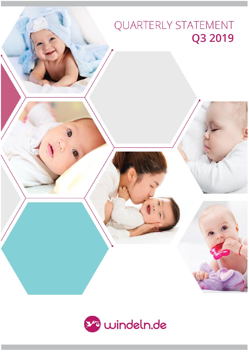# QUARTERLY STATEMENT Q3 2019

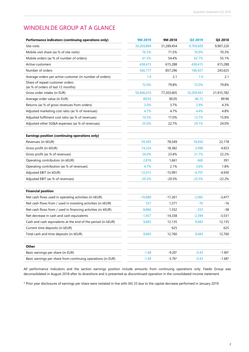# WINDELN.DE GROUP AT A GLANCE

| Performance indicators (continuing operations only)          | 9M 2019    | 9M 2018    | Q3 2019    | Q3 2018    |
|--------------------------------------------------------------|------------|------------|------------|------------|
| Site visits                                                  | 30,269,894 | 31,289,454 | 9,709,829  | 9,907,220  |
| Mobile visit share (as % of site visits)                     | 76.5%      | 71.5%      | 76.9%      | 70.3%      |
| Mobile orders (as % of number of orders)                     | 61.5%      | 54.4%      | 62.7%      | 55.1%      |
| Active customers                                             | 438,415    | 615,288    | 438,415    | 615,288    |
| Number of orders                                             | 566,177    | 857,296    | 186,927    | 243,625    |
| Average orders per active customer (in number of orders)     | 1.9        | 2.1        | 1.9        | 2.1        |
| Share of repeat customer orders                              | 72.0%      | 79.8%      | 72.0%      | 79.8%      |
| (as % of orders of last 12 months)                           |            |            |            |            |
| Gross order intake (in EUR)                                  | 50,406,410 | 77,203,605 | 16,209,941 | 21,915,782 |
| Average order value (in EUR)                                 | 89.03      | 90.05      | 86.72      | 89.96      |
| Returns (as % of gross revenues from orders)                 | 3.0%       | 3.7%       | 2.9%       | 4.3%       |
| Adjusted marketing cost ratio (as % of revenues)             | 4.7%       | 4.7%       | 4.4%       | 4.8%       |
| Adjusted fulfilment cost ratio (as % of revenues)            | 14.5%      | 17.0%      | 13.7%      | 15.8%      |
| Adjusted other SG&A expenses (as % of revenues)              | 25.0%      | 22.7%      | 29.1%      | 24.0%      |
|                                                              |            |            |            |            |
| Earnings position (continuing operations only)               |            |            |            |            |
| Revenues (in kEUR)                                           | 59,365     | 78,549     | 18,456     | 22,178     |
| Gross profit (in kEUR)                                       | 14,224     | 18,382     | 3,998      | 4,923      |
| Gross profit (as % of revenues)                              | 24.0%      | 23.4%      | 21.7%      | 22.2%      |
| Operating contribution (in kEUR)                             | 2,818      | 1,661      | 660        | 391        |
| Operating contribution (as % of revenues)                    | 4.7%       | 2.1%       | 3.6%       | 1.8%       |
| Adjusted EBIT (in kEUR)                                      | $-12,013$  | $-15,991$  | $-4,707$   | $-4,930$   |
| Adjusted EBIT (as % of revenues)                             | $-20.2%$   | $-20.5%$   | $-25.5%$   | $-22.2%$   |
|                                                              |            |            |            |            |
| <b>Financial position</b>                                    |            |            |            |            |
| Net cash flows used in operating activities (in kEUR)        | $-10,680$  | $-17,261$  | $-2,065$   | $-3,477$   |
| Net cash flows from / used in investing activities (in kEUR) | 357        | 1,371      | $-76$      | -16        |
| Net cash flows from / used in financing activities (in kEUR) | 8,866      | 1,552      | $-253$     | $-38$      |
| Net decrease in cash and cash equivalents                    | $-1,457$   | $-14,338$  | $-2,394$   | $-3,531$   |
| Cash and cash equivalents at the end of the period (in kEUR) | 9,683      | 12,135     | 9,683      | 12,135     |
| Current time deposits (in kEUR)                              |            | 625        |            | 625        |
| Total cash and time deposits (in kEUR)                       | 9,683      | 12,760     | 9,683      | 12,760     |
|                                                              |            |            |            |            |
| Other                                                        |            |            |            |            |
| Basic earnings per share (in EUR)                            | $-1.48$    | $-9.20*$   | $-0.43$    | $-1.90*$   |
| Basic earnings per share from continuing operations (in EUR) | $-1.49$    | $-5.76*$   | $-0.43$    | $-1.68*$   |

All performance indicators and the section earnings position include amounts from continuing operations only. Feedo Group was deconsolidated in August 2018 after its divestiture and is presented as discontinued operation in the consolidated income statement.

\* Prior year disclosures of earnings per share were restated in line with IAS 33 due to the capital decrease performed in January 2019.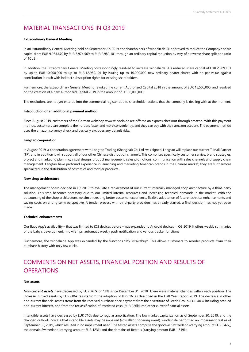# MATERIAL TRANSACTIONS IN Q3 2019

#### **Extraordinary General Meeting**

In an Extraordinary General Meeting held on September 27, 2019, the shareholders of windeln.de SE approved to reduce the Company's share capital from EUR 9,963,670 by EUR 6,974,569 to EUR 2,989,101 through an ordinary capital reduction by way of a reverse share split at a ratio of 10 : 3.

In addition, the Extraordinary General Meeting correspondingly resolved to increase windeln.de SE's reduced share capital of EUR 2,989,101 by up to EUR 10,000,000 to up to EUR 12,989,101 by issuing up to 10,000,000 new ordinary bearer shares with no-par-value against contribution in cash with indirect subscription rights for existing shareholders.

Furthermore, the Extraordinary General Meeting revoked the current Authorized Capital 2018 in the amount of EUR 15,500,000; and resolved on the creation of a new Authorized Capital 2019 in the amount of EUR 6,000,000.

The resolutions are not yet entered into the commercial register due to shareholder actions that the company is dealing with at the moment.

#### **Introduction of an additional payment method**

Since August 2019, customers of the German websho[p www.windeln.de](http://www.windeln.de/) are offered an express checkout through amazon. With this payment method, customers can complete their orders faster and more conveniently, and they can pay with their amazon account. The payment method uses the amazon solvency check and basically excludes any default risks.

#### **Langtao cooperation**

In August 2019, a cooperation agreement with Langtao Trading (Shanghai) Co. Ltd. was signed. Langtao will replace our current T-Mall Partner (TP), and in addition it will support all of our other Chinese distribution channels. This comprises specifically customer service, brand strategies, project and marketing planning, visual design, product management, sales promotions, communication with sales channels and supply chain management. Langtao have profound experience in launching and marketing American brands in the Chinese market; they are furthermore specialized in the distribution of cosmetics and toddler products.

#### **New shop architecture**

The management board decided in Q3 2019 to evaluate a replacement of our current internally managed shop architecture by a third-party solution. This step becomes necessary due to our limited internal resources and increasing technical demands in the market. With the outsourcing of the shop architecture, we aim at creating better customer experience, flexible adaptation of future technical enhancements and saving costs on a long-term perspective. A tender process with third-party providers has already started, a final decision has not yet been made.

#### **Technical enhancements**

Our Baby App's availability – that was limited to iOS devices before – was expanded to Android devices in Q3 2019. It offers weekly summaries of the baby's development, midwife tips, automatic weekly push notification and various tracker functions

Furthermore, the windeln.de App was expanded by the functions "My lists/rebuy". This allows customers to reorder products from their purchase history with only few clicks.

# COMMENTS ON NET ASSETS, FINANCIAL POSITION AND RESULTS OF **OPERATIONS**

#### **Net assets**

*Non-current assets* have decreased by EUR 767k or 14% since December 31, 2018. There were material changes within each position. The increase in fixed assets by EUR 606k results from the adoption of IFRS 16, as described in the Half Year Report 2019. The decrease in other non-current financial assets stems from the received purchase price payment from the divestiture of Feedo Group (EUR 403k including accrued non-current interest, and from the reclassification of restricted cash (EUR 226k) into other current financial assets.

Intangible assets have decreased by EUR 710k due to regular amortization. The low market capitalization as of September 30, 2019, and the changed outlook indicate that intangible assets may be impaired (so-called triggering event). windeln.de performed an impairment test as of September 30, 2019, which resulted in no impairment need. The tested assets comprise the goodwill Switzerland (carrying amount EUR 542k), the domain Switzerland (carrying amount EUR 123k) and the domains of Bebitus (carrying amount EUR 1,819k).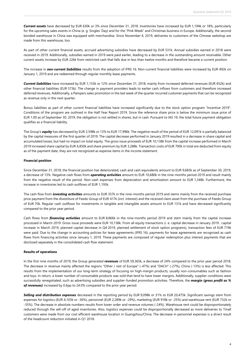*Current assets* have decreased by EUR 630k or 3% since December 31, 2018. Inventories have increased by EUR 1,194k or 18%, particularly for the upcoming sales events in China (e. g. Singles' Day) and for the "Pink Week" and Christmas business in Europe. Additionally, the second bonded warehouse in China was equipped with merchandise. Since November 4, 2019, deliveries to customers of the Chinese webshop are made from this warehouse, too.

As part of other current financial assets, accrued advertising subsidies have decreased by EUR 531k. Annual subsidies earned in 2018 were received in 2019. Additionally, subsidies earned in 2019 were paid earlier, leading to a decrease in the outstanding amount receivable. Other current assets increase by EUR 226k from restricted cash that falls due in less than twelve months and therefore became a current position.

The increase in *non-current liabilities* results from the adoption of IFRS 16. Non-current financial liabilities were increased by EUR 492k on January 1, 2019 and are redeemed through regular monthly lease payments.

*Current liabilities* have increased by EUR 1,153k or 12% since December 31, 2018, mainly from increased deferred revenues (EUR 652k) and other financial liabilities (EUR 573k). The change in payment providers leads to earlier cash inflows from customers and therefore increased deferred revenues. Additionally, a Pampers sales promotion in the last week of the quarter incurred customer payments that can be recognized as revenue only in the next quarter.

Bonus liabilities as part of other current financial liabilities have increased significantly due to the stock option program "Incentive 2019". Conditions of the program are outlined in the Half Year Report 2019. Since the reference share price is below the minimum issue price of EUR 1.00 as of September 30, 2019, the obligation is not settled in shares, but in cash. Pursuant to IAS 19, the total future payment obligation qualifies as a financial liability.

The Group's *equity* has decreased by EUR 2,598k or 13% to EUR 17,996k. The negative result of the period of EUR 12,091k is partially balanced by the capital measures of the first quarter of 2019. The capital decrease performed in January 2019 resulted in a decrease in share capital and accumulated losses; but had no impact on total equity. The gross issue proceeds of EUR 10,138k from the capital increase performed in March 2019 increased share capital by EUR 6,850k and share premium by EUR 3,288k. Transaction costs of EUR 700k in total are deducted from equity as of the payment date, they are not recognized as expense items in the income statement.

#### **Financial position**

Since December 31, 2018, the financial position has deteriorated, cash and cash equivalents amount to EUR 9,683k as of September 30, 2019, a decrease of 13%. Negative cash flows from *operating activities* amount to EUR 10,680k in the nine-months period 2019 and result mainly from the negative result of the period. Non-cash expenses from depreciation and amortization amount to EUR 1,348k. Furthermore, the increase in inventories led to cash outflows of EUR 1,193k.

The cash flow from *investing activities* amounts to EUR 357k in the nine-months period 2019 and stems mainly from the received purchase price payment from the divestiture of Feedo Group of EUR 417k (incl. interest) and the received claim asset from the purchase of Feedo Group of EUR 70k. Regular cash outflows for investments in tangible and intangible assets amount to EUR 131k and have decreased significantly compared to the prior year period.

Cash flows from *financing activities* amount to EUR 8,866k in the nine-months period 2019 and stem mainly from the capital increase processed in March 2019. Gross issue proceeds were EUR 10,138k. From all equity transactions (i. e. capital decrease in January 2019 , capital increase in March 2019, planned capital decrease in Q4 2019, planned settlement of stock option programs), transaction fees of EUR 719k were paid. Due to the change in accounting policies for lease agreements (IFRS 16), payments for lease agreements are recognized as cash flows from financing activities since January 1, 2019. These payments are composed of regular redemption plus interest payments that are disclosed separately in the consolidated cash flow statement.

#### **Results of operations**

In the first nine months of 2019, the Group generated *revenues* of EUR 59,365k, a decrease of 24% compared to the prior year period 2018. The decrease in revenue mainly affected the regions "Other / rest of Europe" (-47%) and "DACH" (-27%), China (-13%) is less affected. This results from the implementation of our long-term strategy of focusing on high-margin products, usually non-consumables such as fashion and toys. In return, a lower number of consumable products was sold that tend to have lower margins. Additionally, supplier conditions were successfully renegotiated, such as advertising subsidies and supplier-funded promotion activities. Therefore, the *margin (gross profit as % of revenues)* increased by 0.6pp to 24.0% compared to the prior year period.

*Selling and distribution expenses* decreased in the reporting period by EUR 9,098k or 31% to EUR 20,475k. Significant savings stem from expenses for logistics (EUR 4,103k or -36%), personnel (EUR 2,289k or -29%), marketing (EUR 918k or -25%) and warehouse rent (EUR 732k or -35%). The decrease in absolute numbers results from lower order and revenue volumes (-24%). Warehouse rent could be disproportionately reduced through the sell-off of aged inventories. Also, logistics expenses could be disproportionally decreased as more deliveries to Tmall customers were made from our cost efficient warehouse location in Guangzhou/China. The decrease in personnel expenses is a direct result of the headcount reduction initiated in Q1 2018.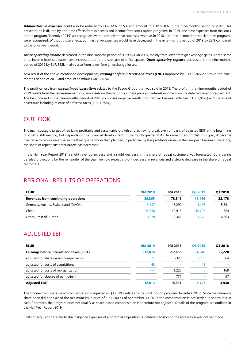*Administrative expenses* could also be reduced by EUR 320k or 5% and amount to EUR 6,289k in the nine-months period of 2019. This presentation is diluted by one-time effects from expenses and income from stock option programs. In 2019, one-time expenses from the stock option program "Incentive 2019" are recognized within administrative expenses, whereas in 2018 one-time income from stock option programs were recognized. Without those effects, administrative expenses would have decreased in the nine-months period of 2019 by 22% compared to the prior year period.

*Other operating income* decreased in the nine-months period of 2019 by EUR 200k, mainly from lower foreign exchange gains. At the same time, income from subleases have increased due to the sublease of office spaces. *Other operating expense* decreased in the nine-months period of 2019 by EUR 532k, mainly also from lower foreign exchange losses.

As a result of the above-mentioned developments, *earnings before interest and taxes (EBIT)* improved by EUR 5,592k or 32% in the ninemonths period of 2019 and amount to minus EUR 12,074k.

The profit or loss from *discontinued operations* relates to the Feedo Group that was sold in 2018. The profit in the nine-months period of 2019 results from the remeasurement of claim assets on the historic purchase price and interest income from the deferred sales price payment. The loss incurred in the nine-months period of 2018 comprises negative results from regular business activities (EUR 2,817k) and the loss of divestiture including release of deferred taxes (EUR 7,758k).

# **OUTLOOK**

The main strategic target of realizing profitable and sustainable growth and achieving break even on basis of adjusted EBIT at the beginning of 2020 is still existing, but depends on the financial development in the fourth quarter 2019. In order to accomplish this goal, it became inevitable to reduce revenues in the third quarter more than planned, in particular by less profitable orders in the European business. Therefore, the share of repeat customer orders has decreased.

In the Half Year Report 2019, a slight revenue increase and a slight decrease in the share of repeat customers was forecasted. Considering detailed projections for the remainder of the year, we now expect a slight decrease in revenues and a strong decrease in the share of repeat customers.

### REGIONAL RESULTS OF OPERATIONS

| <b>kEUR</b>                                | 9M 2019 | 9M 2018 | O <sub>3</sub> 2019 | Q3 2018 |
|--------------------------------------------|---------|---------|---------------------|---------|
| <b>Revenues from continuing operations</b> | 59.365  | 78.549  | 18.456              | 22,178  |
| Germany, Austria, Switzerland (DACH)       | 13,437  | 18,290  | 4.475               | 5,691   |
| China                                      | 35,658  | 40.913  | 10.703              | 11,824  |
| Other / rest of Europe                     | 10,270  | 19,346  | 3,278               | 4,663   |

### ADJUSTED EBIT

| <b>kEUR</b>                               | <b>9M 2019</b> | 9M 2018                  | Q3 2019  | Q3 2018  |
|-------------------------------------------|----------------|--------------------------|----------|----------|
| Earnings before interest and taxes (EBIT) | $-12.074$      | $-17.666$                | $-4.246$ | $-5,220$ |
| adjusted for share-based compensation     | 27             | $-323$                   | $-509$   | 64       |
| adjusted for costs of acquisitions        | 48             | $\overline{\phantom{a}}$ | 48       |          |
| adjusted for costs of reorganization      | $-14$          | 1,227                    |          | 169      |
| adjusted for closure of pannolini.it      |                | 771                      |          | 57       |
| <b>Adjusted EBIT</b>                      | $-12.013$      | $-15.991$                | $-4.707$ | -4.930   |

The income from share-based compensation – adjusted in Q3 2019 – relates to the stock option program "Incentive 2019". Since the reference share price did not exceed the minimum issue price of EUR 1.00 as of September 30, 2019, the compensation is not settled in shares, but in cash. Therefore, the program does not qualify as share-based compensation is therefore not adjusted. Details of the program are outlined in the Half Year Report 2019.

Costs of acquisitions relate to due diligence expenses of a potential acquisition. A definite decision on the acquisition was not yet made.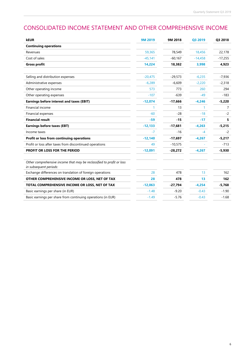# CONSOLIDATED INCOME STATEMENT AND OTHER COMPREHENSIVE INCOME

| <b>kEUR</b>                                                                                     | <b>9M 2019</b> | 9M 2018   | Q3 2019   | Q3 2018   |
|-------------------------------------------------------------------------------------------------|----------------|-----------|-----------|-----------|
| <b>Continuing operations</b>                                                                    |                |           |           |           |
| Revenues                                                                                        | 59,365         | 78,549    | 18,456    | 22,178    |
| Cost of sales                                                                                   | $-45,141$      | $-60,167$ | $-14,458$ | $-17,255$ |
| <b>Gross profit</b>                                                                             | 14,224         | 18,382    | 3,998     | 4,923     |
| Selling and distribution expenses                                                               | $-20,475$      | $-29,573$ | $-6,235$  | $-7,936$  |
| Administrative expenses                                                                         | $-6,289$       | $-6,609$  | $-2,220$  | $-2,318$  |
| Other operating income                                                                          | 573            | 773       | 260       | 294       |
| Other operating expenses                                                                        | $-107$         | $-639$    | $-49$     | $-183$    |
| Earnings before interest and taxes (EBIT)                                                       | $-12,074$      | $-17,666$ | $-4,246$  | $-5,220$  |
| Financial income                                                                                | 1              | 13        | 1.        | 7         |
| Financial expenses                                                                              | $-60$          | $-28$     | $-18$     | $-2$      |
| <b>Financial result</b>                                                                         | $-59$          | $-15$     | $-17$     | 5         |
| <b>Earnings before taxes (EBT)</b>                                                              | $-12,133$      | $-17,681$ | $-4,263$  | $-5,215$  |
| Income taxes                                                                                    | $-7$           | $-16$     | $-4$      | $-2$      |
| Profit or loss from continuing operations                                                       | $-12,140$      | $-17,697$ | $-4,267$  | $-5,217$  |
| Profit or loss after taxes from discontinued operations                                         | 49             | $-10,575$ |           | $-713$    |
| PROFIT OR LOSS FOR THE PERIOD                                                                   | $-12,091$      | $-28,272$ | $-4,267$  | $-5,930$  |
| Other comprehensive income that may be reclassified to profit or loss<br>in subsequent periods: |                |           |           |           |
| Exchange differences on translation of foreign operations                                       | 28             | 478       | 13        | 162       |
| OTHER COMPREHENSIVE INCOME OR LOSS, NET OF TAX                                                  | 28             | 478       | 13        | 162       |
| TOTAL COMPREHENSIVE INCOME OR LOSS, NET OF TAX                                                  | $-12,063$      | $-27,794$ | $-4,254$  | $-5,768$  |
| Basic earnings per share (in EUR)                                                               | $-1.48$        | $-9.20$   | $-0.43$   | $-1.90$   |
| Basic earnings per share from continuing operations (in EUR)                                    | $-1.49$        | $-5.76$   | $-0.43$   | $-1.68$   |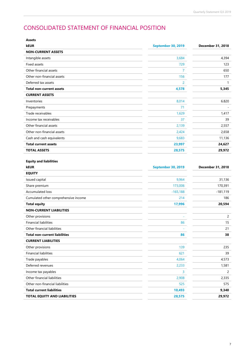# CONSOLIDATED STATEMENT OF FINANCIAL POSITION

| Assets                                                        |                           |                   |
|---------------------------------------------------------------|---------------------------|-------------------|
| <b>kEUR</b>                                                   | <b>September 30, 2019</b> | December 31, 2018 |
| <b>NON-CURRENT ASSETS</b>                                     |                           |                   |
| Intangible assets                                             | 3,684                     | 4,394             |
| Fixed assets                                                  | 729                       | 123               |
| Other financial assets                                        | $\mathbf{7}$              | 650               |
| Other non-financial assets                                    | 156                       | 177               |
| Deferred tax assets                                           | $\overline{2}$            | $\mathbf{1}$      |
| <b>Total non-current assets</b>                               | 4,578                     | 5,345             |
| <b>CURRENT ASSETS</b>                                         |                           |                   |
| Inventories                                                   | 8,014                     | 6.820             |
| Prepayments                                                   | 71                        |                   |
| Trade receivables                                             | 1,629                     | 1,417             |
| Income tax receivables                                        | 37                        | 39                |
| Other financial assets                                        | 2,139                     | 2,557             |
| Other non-financial assets                                    | 2,424                     | 2,658             |
| Cash and cash equivalents                                     | 9,683                     | 11,136            |
| <b>Total current assets</b>                                   | 23,997                    | 24,627            |
| <b>TOTAL ASSETS</b>                                           | 28,575                    | 29,972            |
| <b>Equity and liabilities</b><br><b>kEUR</b><br><b>EQUITY</b> | <b>September 30, 2019</b> | December 31, 2018 |
| Issued capital                                                | 9,964                     | 31,136            |
| Share premium                                                 | 173,006                   | 170,391           |
| Accumulated loss                                              | $-165,188$                | $-181,119$        |
| Cumulated other comprehensive income                          | 214                       | 186               |
| <b>Total equity</b>                                           | 17,996                    | 20,594            |
| <b>NON-CURRENT LIABILITIES</b>                                |                           |                   |
| Other provisions                                              |                           | 2                 |
| <b>Financial liabilities</b>                                  | 86                        | 15                |
| Other financial liabilities                                   |                           | 21                |
| <b>Total non-current liabilities</b>                          | 86                        | 38                |
| <b>CURRENT LIABILITIES</b>                                    |                           |                   |
| Other provisions                                              | 139                       | 235               |
| <b>Financial liabilities</b>                                  | 621                       | 39                |
| Trade payables                                                | 4,064                     | 4,573             |
| Deferred revenues                                             | 2,233                     | 1,581             |
| Income tax payables                                           | 3                         | $\overline{c}$    |
| Other financial liabilities                                   | 2,908                     | 2,335             |
| Other non-financial liabilities                               | 525                       | 575               |
| <b>Total current liabilities</b>                              | 10,493                    | 9,340             |
|                                                               |                           |                   |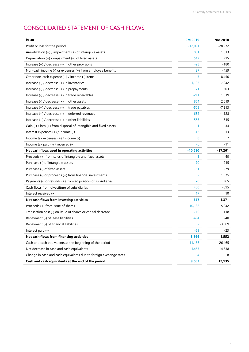# CONSOLIDATED STATEMENT OF CASH FLOWS

| <b>kEUR</b>                                                       | 9M 2019   | 9M 2018   |
|-------------------------------------------------------------------|-----------|-----------|
| Profit or loss for the period                                     | $-12,091$ | $-28,272$ |
| Amortization $(+)$ / impairment $(+)$ of intangible assets        | 801       | 1,013     |
| Depreciation (+) / impairment (+) of fixed assets                 | 547       | 215       |
| Increase $(+)$ / decrease $(-)$ in other provisions               | -98       | -180      |
| Non-cash income (-) or expenses (+) from employee benefits        | 27        | -459      |
| Other non-cash expense $(+)$ / income $(-)$ items                 | 3         | 8,450     |
| Increase (-) / decrease (+) in inventories                        | $-1,193$  | 7,942     |
| Increase $(-)$ / decrease $(+)$ in prepayments                    | $-71$     | 303       |
| Increase $(-)$ / decrease $(+)$ in trade receivables              | $-211$    | 1,019     |
| Increase $(-)$ / decrease $(+)$ in other assets                   | 864       | 2,619     |
| Increase $(+)$ / decrease $(-)$ in trade payables                 | $-509$    | $-7,213$  |
| Increase (+) / decrease (-) in deferred revenues                  | 652       | $-1,128$  |
| Increase (+) / decrease (-) in other liabilities                  | 556       | $-1,545$  |
| Gain (-) / loss (+) from disposal of intangible and fixed assets  | -1        | -34       |
| Interest expenses (+) / income (-)                                | 42        | 13        |
| Income tax expenses $(+)$ / income $(-)$                          | 8         | 7         |
| Income tax paid $(-)$ / received $(+)$                            | -6        | -11       |
| Net cash flows used in operating activities                       | $-10,680$ | -17,261   |
| Proceeds (+) from sales of intangible and fixed assets            | 1.        | 40        |
| Purchase (-) of intangible assets                                 | $-70$     | -245      |
| Purchase (-) of fixed assets                                      | -61       | $-79$     |
| Purchase (-) or proceeds (+) from financial investments           |           | 1,875     |
| Payments (-) or refunds (+) from acquisition of subsidiaries      | 70        | 365       |
| Cash flows from divestiture of subsidiaries                       | 400       | -595      |
| Interest received (+)                                             | 17        | 10        |
| Net cash flows from investing activities                          | 357       | 1,371     |
| Proceeds (+) from issue of shares                                 | 10,138    | 5,242     |
| Transaction cost (-) on issue of shares or capital decrease       | $-719$    | -118      |
| Repayment (-) of lease liabilities                                | $-494$    | -40       |
| Repayment (-) of financial liabilities                            |           | $-3,509$  |
| Interest paid $(-)$                                               | -59       | -23       |
| Net cash flows from financing activities                          | 8,866     | 1,552     |
| Cash and cash equivalents at the beginning of the period          | 11,136    | 26,465    |
| Net decrease in cash and cash equivalents                         | $-1,457$  | $-14,338$ |
| Change in cash and cash equivalents due to foreign exchange rates | 4         | 8         |
| Cash and cash equivalents at the end of the period                | 9,683     | 12,135    |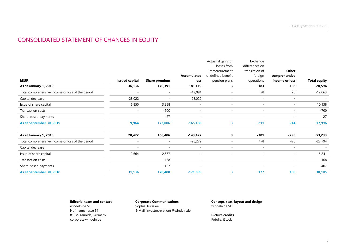# CONSOLIDATED STATEMENT OF CHANGES IN EQUITY

|                                                  |                          |                          |                          | Actuarial gains or<br>losses from | Exchange<br>differences on |                          |                     |
|--------------------------------------------------|--------------------------|--------------------------|--------------------------|-----------------------------------|----------------------------|--------------------------|---------------------|
|                                                  |                          |                          |                          | remeasurement                     | translation of             | Other                    |                     |
|                                                  |                          |                          | <b>Accumulated</b>       | of defined benefit                | foreign                    | comprehensive            |                     |
| kEUR                                             | <b>Issued capital</b>    | <b>Share premium</b>     | loss                     | pension plans                     | operations                 | income or loss           | <b>Total equity</b> |
| As at January 1, 2019                            | 36,136                   | 170,391                  | -181,119                 | 3                                 | 183                        | 186                      | 20,594              |
| Total comprehensive income or loss of the period | $\overline{\phantom{a}}$ | $\sim$                   | $-12,091$                | $\overline{\phantom{a}}$          | 28                         | 28                       | $-12,063$           |
| Capital decrease                                 | $-28,022$                | $\overline{\phantom{a}}$ | 28,022                   | $\sim$                            | $\overline{\phantom{a}}$   | $\overline{\phantom{a}}$ |                     |
| Issue of share capital                           | 6,850                    | 3,288                    | $\overline{\phantom{a}}$ | $\sim$                            | $\sim$                     | $\overline{\phantom{a}}$ | 10,138              |
| <b>Transaction costs</b>                         | $\overline{\phantom{a}}$ | $-700$                   | $\sim$                   | $\overline{\phantom{a}}$          | $\sim$                     | $\overline{\phantom{a}}$ | $-700$              |
| Share-based payments                             | $\overline{\phantom{a}}$ | 27                       | $\overline{\phantom{a}}$ | $\sim$                            | $\overline{\phantom{a}}$   | $\overline{\phantom{a}}$ | 27                  |
| As at September 30, 2019                         | 9,964                    | 173,006                  | $-165,188$               | 3.                                | 211                        | 214                      | 17,996              |
| As at January 1, 2018                            | 28,472                   | 168,486                  | $-143,427$               | 3                                 | $-301$                     | -298                     | 53,233              |
| Total comprehensive income or loss of the period | $\overline{\phantom{a}}$ | $\overline{\phantom{a}}$ | $-28,272$                | $\overline{\phantom{a}}$          | 478                        | 478                      | $-27,794$           |
| Capital decrease                                 | $\overline{\phantom{a}}$ | $\sim$                   | $\overline{\phantom{a}}$ | $\overline{\phantom{a}}$          | $\overline{\phantom{a}}$   | $\overline{\phantom{a}}$ |                     |
| Issue of share capital                           | 2,664                    | 2,577                    | $\overline{\phantom{a}}$ | $\overline{\phantom{a}}$          | $\overline{\phantom{a}}$   | $\overline{\phantom{a}}$ | 5,241               |
| <b>Transaction costs</b>                         | $\overline{\phantom{a}}$ | $-168$                   | $\overline{\phantom{a}}$ | $\overline{\phantom{a}}$          | $\overline{\phantom{a}}$   | $\overline{\phantom{a}}$ | $-168$              |
| Share-based payments                             | $\sim$                   | $-407$                   |                          | $\overline{\phantom{a}}$          | $\overline{\phantom{a}}$   | $\overline{\phantom{a}}$ | $-407$              |
| As at September 30, 2018                         | 31,136                   | 170,488                  | $-171,699$               | 3                                 | 177                        | 180                      | 30,105              |

### **Editorial team and contact**

windeln.de SE Hofmannstrasse 51 81379 Munich, Germany corporate.windeln.de

**Corporate Communications** Sophia Kursawe E-Mail: investor.relations@windeln.de **Concept, text, layout and design** windeln.de SE

**Picture credits** Fotolia, iStock